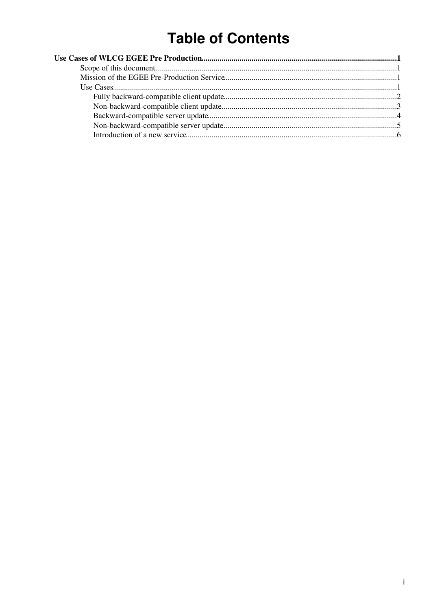# **Table of Contents**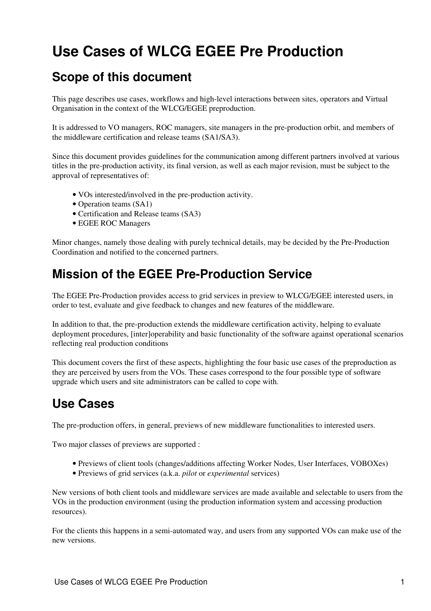# <span id="page-1-0"></span>**Use Cases of WLCG EGEE Pre Production**

# <span id="page-1-1"></span>**Scope of this document**

This page describes use cases, workflows and high-level interactions between sites, operators and Virtual Organisation in the context of the WLCG/EGEE preproduction.

It is addressed to VO managers, ROC managers, site managers in the pre-production orbit, and members of the middleware certification and release teams (SA1/SA3).

Since this document provides guidelines for the communication among different partners involved at various titles in the pre-production activity, its final version, as well as each major revision, must be subject to the approval of representatives of:

- VOs interested/involved in the pre-production activity.
- Operation teams (SA1)
- Certification and Release teams (SA3)
- EGEE ROC Managers

Minor changes, namely those dealing with purely technical details, may be decided by the Pre-Production Coordination and notified to the concerned partners.

# <span id="page-1-2"></span>**Mission of the EGEE Pre-Production Service**

The EGEE Pre-Production provides access to grid services in preview to WLCG/EGEE interested users, in order to test, evaluate and give feedback to changes and new features of the middleware.

In addition to that, the pre-production extends the middleware certification activity, helping to evaluate deployment procedures, [inter]operability and basic functionality of the software against operational scenarios reflecting real production conditions

This document covers the first of these aspects, highlighting the four basic use cases of the preproduction as they are perceived by users from the VOs. These cases correspond to the four possible type of software upgrade which users and site administrators can be called to cope with.

# <span id="page-1-3"></span>**Use Cases**

The pre-production offers, in general, previews of new middleware functionalities to interested users.

Two major classes of previews are supported :

- Previews of client tools (changes/additions affecting Worker Nodes, User Interfaces, VOBOXes)
- Previews of grid services (a.k.a. *pilot* or *experimental* services)

New versions of both client tools and middleware services are made available and selectable to users from the VOs in the production environment (using the production information system and accessing production resources).

For the clients this happens in a semi-automated way, and users from any supported VOs can make use of the new versions.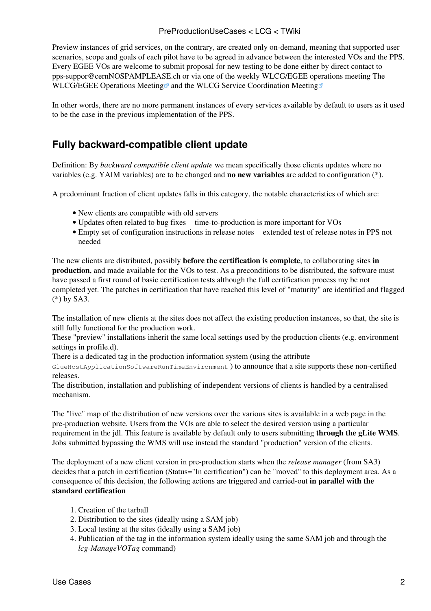Preview instances of grid services, on the contrary, are created only on-demand, meaning that supported user scenarios, scope and goals of each pilot have to be agreed in advance between the interested VOs and the PPS. Every EGEE VOs are welcome to submit proposal for new testing to be done either by direct contact to [pps-suppor@cernNOSPAMPLEASE.ch](mailto:pps-suppor@cernNOSPAMPLEASE.ch) or via one of the weekly WLCG/EGEE operations meeting [The](http://indico.cern.ch/categoryDisplay.py?categId=258) [WLCG/EGEE Operations Meeting](http://indico.cern.ch/categoryDisplay.py?categId=258) and the [WLCG Service Coordination Meeting](http://indico.cern.ch/categoryDisplay.py?categId=654)

In other words, there are no more permanent instances of every services available by default to users as it used to be the case in the previous implementation of the PPS.

## <span id="page-2-0"></span>**Fully backward-compatible client update**

Definition: By *backward compatible client update* we mean specifically those clients updates where no variables (e.g. YAIM variables) are to be changed and **no new variables** are added to configuration (\*).

A predominant fraction of client updates falls in this category, the notable characteristics of which are:

- New clients are compatible with old servers
- Updates often related to bug fixes ime-to-production is more important for VOs
- Empty set of configuration instructions in release notes extended test of release notes in PPS not needed

The new clients are distributed, possibly **before the certification is complete**, to collaborating sites **in production**, and made available for the VOs to test. As a preconditions to be distributed, the software must have passed a first round of basic certification tests although the full certification process my be not completed yet. The patches in certification that have reached this level of "maturity" are identified and flagged (\*) by SA3.

The installation of new clients at the sites does not affect the existing production instances, so that, the site is still fully functional for the production work.

These "preview" installations inherit the same local settings used by the production clients (e.g. environment settings in profile.d).

There is a dedicated tag in the production information system (using the attribute

GlueHostApplicationSoftwareRunTimeEnvironment ) to announce that a site supports these non-certified releases.

The distribution, installation and publishing of independent versions of clients is handled by a [centralised](https://twiki.cern.ch/twiki/bin/view/LCG/WnTarOnSiteUsage) [mechanism](https://twiki.cern.ch/twiki/bin/view/LCG/WnTarOnSiteUsage).

The "live" map of the distribution of new versions over the various sites is available in a web page in the pre-production website. Users from the VOs are able to select the desired version using a particular requirement in the jdl. This feature is available by default only to users submitting **through the gLite WMS**. Jobs submitted bypassing the WMS will use instead the standard "production" version of the clients.

The deployment of a new client version in pre-production starts when the *release manager* (from SA3) decides that a patch in certification (Status="In certification") can be "moved" to this deployment area. As a consequence of this decision, the following actions are triggered and carried-out **in parallel with the standard certification**

- 1. Creation of the tarball
- 2. Distribution to the sites (ideally using a SAM job)
- 3. Local testing at the sites (ideally using a SAM job)
- 4. Publication of the tag in the information system ideally using the same SAM job and through the *lcg-ManageVOTag* command)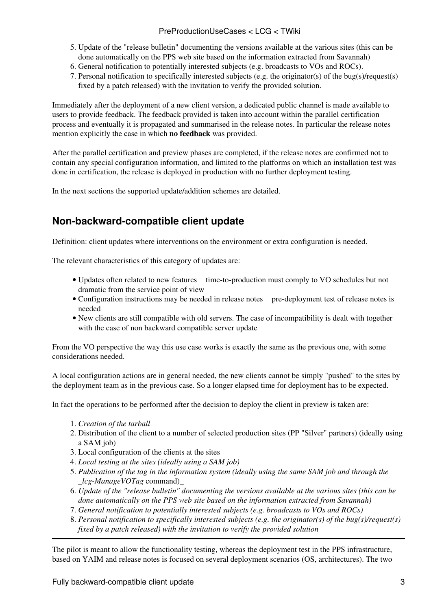- 5. Update of the "release bulletin" documenting the versions available at the various sites (this can be done automatically on the PPS web site based on the information extracted from Savannah)
- 6. General notification to potentially interested subjects (e.g. broadcasts to VOs and ROCs).
- Personal notification to specifically interested subjects (e.g. the originator(s) of the bug(s)/request(s) 7. fixed by a patch released) with the invitation to verify the provided solution.

Immediately after the deployment of a new client version, a dedicated public channel is made available to users to provide feedback. The feedback provided is taken into account within the parallel certification process and eventually it is propagated and summarised in the release notes. In particular the release notes mention explicitly the case in which **no feedback** was provided.

After the parallel certification and preview phases are completed, if the release notes are confirmed not to contain any special configuration information, and limited to the platforms on which an installation test was done in certification, the release is deployed in production with no further deployment testing.

In the next sections the supported update/addition schemes are detailed.

### <span id="page-3-0"></span>**Non-backward-compatible client update**

Definition: client updates where interventions on the environment or extra configuration is needed.

The relevant characteristics of this category of updates are:

- Updates often related to new features ime-to-production must comply to VO schedules but not dramatic from the service point of view
- Configuration instructions may be needed in release notes pre-deployment test of release notes is needed
- New clients are still compatible with old servers. The case of incompatibility is dealt with together with the case of [non backward compatible server update](https://twiki.cern.ch/twiki/bin/edit/LCG/NBCServer?topicparent=LCG.PreProductionUseCases;nowysiwyg=1)

From the VO perspective the way this use case works is exactly the same as the previous one, with some considerations needed.

A local configuration actions are in general needed, the new clients cannot be simply "pushed" to the sites by the deployment team as in the previous case. So a longer elapsed time for deployment has to be expected.

In fact the operations to be performed after the decision to deploy the client in preview is taken are:

- 1. *Creation of the tarball*
- 2. Distribution of the client to a number of selected production sites (PP "Silver" partners) (ideally using a SAM job)
- 3. Local configuration of the clients at the sites
- 4. *Local testing at the sites (ideally using a SAM job)*
- *Publication of the tag in the information system (ideally using the same SAM job and through the* 5. *\_lcg-ManageVOTag* command)\_
- *Update of the "release bulletin" documenting the versions available at the various sites (this can be* 6. *done automatically on the PPS web site based on the information extracted from Savannah)*
- 7. *General notification to potentially interested subjects (e.g. broadcasts to VOs and ROCs)*
- *Personal notification to specifically interested subjects (e.g. the originator(s) of the bug(s)/request(s)* 8. *fixed by a patch released) with the invitation to verify the provided solution*

The pilot is meant to allow the functionality testing, whereas the deployment test in the PPS infrastructure, based on YAIM and release notes is focused on several deployment scenarios (OS, architectures). The two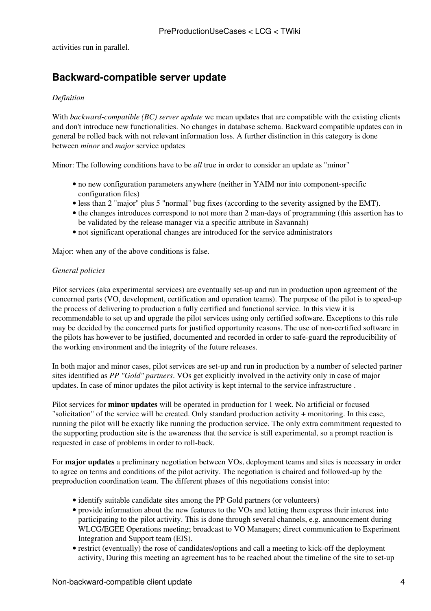activities run in parallel.

## <span id="page-4-0"></span>**Backward-compatible server update**

#### *Definition*

With *backward-compatible (BC) server update* we mean updates that are compatible with the existing clients and don't introduce new functionalities. No changes in database schema. Backward compatible updates can in general be rolled back with not relevant information loss. A further distinction in this category is done between *minor* and *major* service updates

Minor: The following conditions have to be *all* true in order to consider an update as "minor"

- no new configuration parameters anywhere (neither in YAIM nor into component-specific configuration files)
- less than 2 "major" plus 5 "normal" bug fixes (according to the severity assigned by the EMT).
- the changes introduces correspond to not more than 2 man-days of programming (this assertion has to be validated by the release manager via a specific attribute in Savannah)
- not significant operational changes are introduced for the service administrators

Major: when any of the above conditions is false.

#### *General policies*

Pilot services (aka experimental services) are eventually set-up and run in production upon agreement of the concerned parts (VO, development, certification and operation teams). The purpose of the pilot is to speed-up the process of delivering to production a fully certified and functional service. In this view it is recommendable to set up and upgrade the pilot services using only certified software. Exceptions to this rule may be decided by the concerned parts for justified opportunity reasons. The use of non-certified software in the pilots has however to be justified, documented and recorded in order to safe-guard the reproducibility of the working environment and the integrity of the future releases.

In both major and minor cases, pilot services are set-up and run in production by a number of selected partner sites identified as *PP "Gold" partners*. VOs get explicitly involved in the activity only in case of major updates. In case of minor updates the pilot activity is kept internal to the service infrastructure .

Pilot services for **minor updates** will be operated in production for 1 week. No artificial or focused "solicitation" of the service will be created. Only standard production activity + monitoring. In this case, running the pilot will be exactly like running the production service. The only extra commitment requested to the supporting production site is the awareness that the service is still experimental, so a prompt reaction is requested in case of problems in order to roll-back.

For **major updates** a preliminary negotiation between VOs, deployment teams and sites is necessary in order to agree on terms and conditions of the pilot activity. The negotiation is chaired and followed-up by the preproduction coordination team. The different phases of this negotiations consist into:

- identify suitable candidate sites among the PP Gold partners (or volunteers)
- provide information about the new features to the VOs and letting them express their interest into participating to the pilot activity. This is done through several channels, e.g. announcement during WLCG/EGEE Operations meeting; broadcast to VO Managers; direct communication to Experiment Integration and Support team (EIS).
- restrict (eventually) the rose of candidates/options and call a meeting to kick-off the deployment activity, During this meeting an agreement has to be reached about the timeline of the site to set-up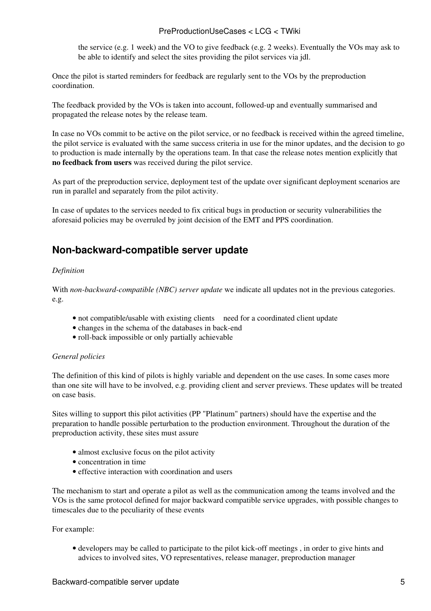#### PreProductionUseCases < LCG < TWiki

the service (e.g. 1 week) and the VO to give feedback (e.g. 2 weeks). Eventually the VOs may ask to be able to identify and select the sites providing the pilot services via jdl.

Once the pilot is started reminders for feedback are regularly sent to the VOs by the preproduction coordination.

The feedback provided by the VOs is taken into account, followed-up and eventually summarised and propagated the release notes by the release team.

In case no VOs commit to be active on the pilot service, or no feedback is received within the agreed timeline, the pilot service is evaluated with the same success criteria in use for the minor updates, and the decision to go to production is made internally by the operations team. In that case the release notes mention explicitly that **no feedback from users** was received during the pilot service.

As part of the preproduction service, deployment test of the update over significant deployment scenarios are run in parallel and separately from the pilot activity.

In case of updates to the services needed to fix critical bugs in production or security vulnerabilities the aforesaid policies may be overruled by joint decision of the EMT and PPS coordination.

### <span id="page-5-0"></span>**Non-backward-compatible server update**

#### *Definition*

With *non-backward-compatible (NBC) server update* we indicate all updates not in the previous categories. e.g.

- not compatible/usable with existing clients need for a coordinated client update
- changes in the schema of the databases in back-end
- roll-back impossible or only partially achievable

#### *General policies*

The definition of this kind of pilots is highly variable and dependent on the use cases. In some cases more than one site will have to be involved, e.g. providing client and server previews. These updates will be treated on case basis.

Sites willing to support this pilot activities (PP "Platinum" partners) should have the expertise and the preparation to handle possible perturbation to the production environment. Throughout the duration of the preproduction activity, these sites must assure

- almost exclusive focus on the pilot activity
- concentration in time
- effective interaction with coordination and users

The mechanism to start and operate a pilot as well as the communication among the teams involved and the VOs is the same protocol defined for major backward compatible service upgrades, with possible changes to timescales due to the peculiarity of these events

#### For example:

• developers may be called to participate to the pilot kick-off meetings, in order to give hints and advices to involved sites, VO representatives, release manager, preproduction manager